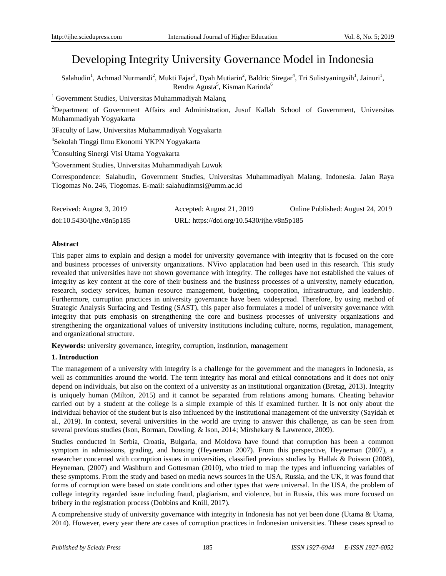# Developing Integrity University Governance Model in Indonesia

Salahudin<sup>1</sup>, Achmad Nurmandi<sup>2</sup>, Mukti Fajar<sup>3</sup>, Dyah Mutiarin<sup>2</sup>, Baldric Siregar<sup>4</sup>, Tri Sulistyaningsih<sup>1</sup>, Jainuri<sup>1</sup>, Rendra Agusta<sup>5</sup>, Kisman Karinda<sup>6</sup>

<sup>1</sup> Government Studies, Universitas Muhammadiyah Malang

<sup>2</sup>Department of Government Affairs and Administration, Jusuf Kallah School of Government, Universitas Muhammadiyah Yogyakarta

3Faculty of Law, Universitas Muhammadiyah Yogyakarta

4 Sekolah Tinggi Ilmu Ekonomi YKPN Yogyakarta

<sup>5</sup>Consulting Sinergi Visi Utama Yogyakarta

<sup>6</sup>Government Studies, Universitas Muhammadiyah Luwuk

Correspondence: Salahudin, Government Studies, Universitas Muhammadiyah Malang, Indonesia. Jalan Raya Tlogomas No. 246, Tlogomas. E-mail: salahudinmsi@umm.ac.id

| Received: August 3, 2019  | Accepted: August 21, 2019                  | Online Published: August 24, 2019 |
|---------------------------|--------------------------------------------|-----------------------------------|
| doi:10.5430/ijhe.v8n5p185 | URL: https://doi.org/10.5430/ijhe.v8n5p185 |                                   |

# **Abstract**

This paper aims to explain and design a model for university governance with integrity that is focused on the core and business processes of university organizations. NVivo applacation had been used in this research. This study revealed that universities have not shown governance with integrity. The colleges have not established the values of integrity as key content at the core of their business and the business processes of a university, namely education, research, society services, human resource management, budgeting, cooperation, infrastructure, and leadership. Furthermore, corruption practices in university governance have been widespread. Therefore, by using method of Strategic Analysis Surfacing and Testing (SAST), this paper also formulates a model of university governance with integrity that puts emphasis on strengthening the core and business processes of university organizations and strengthening the organizational values of university institutions including culture, norms, regulation, management, and organizational structure.

**Keywords:** university governance, integrity, corruption, institution, management

# **1. Introduction**

The management of a university with integrity is a challenge for the government and the managers in Indonesia, as well as communities around the world. The term integrity has moral and ethical connotations and it does not only depend on individuals, but also on the context of a university as an institutional organization (Bretag, 2013). Integrity is uniquely human (Milton, 2015) and it cannot be separated from relations among humans. Cheating behavior carried out by a student at the college is a simple example of this if examined further. It is not only about the individual behavior of the student but is also influenced by the institutional management of the university (Sayidah et al., 2019). In context, several universities in the world are trying to answer this challenge, as can be seen from several previous studies (Ison, Borman, Dowling, & Ison, 2014; Mirshekary & Lawrence, 2009).

Studies conducted in Serbia, Croatia, Bulgaria, and Moldova have found that corruption has been a common symptom in admissions, grading, and housing (Heyneman 2007). From this perspective, Heyneman (2007), a researcher concerned with corruption issues in universities, classified previous studies by Hallak & Poisson (2008), Heyneman, (2007) and Washburn and Gottesman (2010), who tried to map the types and influencing variables of these symptoms. From the study and based on media news sources in the USA, Russia, and the UK, it was found that forms of corruption were based on state conditions and other types that were universal. In the USA, the problem of college integrity regarded issue including fraud, plagiarism, and violence, but in Russia, this was more focused on bribery in the registration process (Dobbins and Knill, 2017).

A comprehensive study of university governance with integrity in Indonesia has not yet been done (Utama & Utama, 2014). However, every year there are cases of corruption practices in Indonesian universities. Tthese cases spread to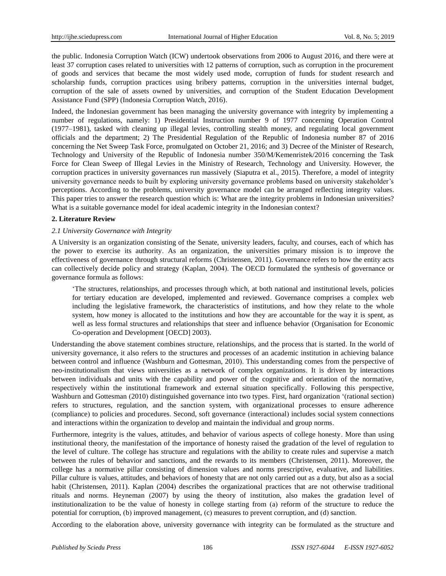the public. Indonesia Corruption Watch (ICW) undertook observations from 2006 to August 2016, and there were at least 37 corruption cases related to universities with 12 patterns of corruption, such as corruption in the procurement of goods and services that became the most widely used mode, corruption of funds for student research and scholarship funds, corruption practices using bribery patterns, corruption in the universities internal budget, corruption of the sale of assets owned by universities, and corruption of the Student Education Development Assistance Fund (SPP) (Indonesia Corruption Watch, 2016).

Indeed, the Indonesian government has been managing the university governance with integrity by implementing a number of regulations, namely: 1) Presidential Instruction number 9 of 1977 concerning Operation Control (1977–1981), tasked with cleaning up illegal levies, controlling stealth money, and regulating local government officials and the department; 2) The Presidential Regulation of the Republic of Indonesia number 87 of 2016 concerning the Net Sweep Task Force, promulgated on October 21, 2016; and 3) Decree of the Minister of Research, Technology and University of the Republic of Indonesia number 350/M/Kemenristek/2016 concerning the Task Force for Clean Sweep of Illegal Levies in the Ministry of Research, Technology and University. However, the corruption practices in university governances run massively (Siaputra et al., 2015). Therefore, a model of integrity university governance needs to built by exploring university governance problems based on university stakeholder's perceptions. According to the problems, university governance model can be arranged reflecting integrity values. This paper tries to answer the research question which is: What are the integrity problems in Indonesian universities? What is a suitable governance model for ideal academic integrity in the Indonesian context?

# **2. Literature Review**

# *2.1 University Governance with Integrity*

A University is an organization consisting of the Senate, university leaders, faculty, and courses, each of which has the power to exercise its authority. As an organization, the universities primary mission is to improve the effectiveness of governance through structural reforms (Christensen, 2011). Governance refers to how the entity acts can collectively decide policy and strategy (Kaplan, 2004). The OECD formulated the synthesis of governance or governance formula as follows:

'The structures, relationships, and processes through which, at both national and institutional levels, policies for tertiary education are developed, implemented and reviewed. Governance comprises a complex web including the legislative framework, the characteristics of institutions, and how they relate to the whole system, how money is allocated to the institutions and how they are accountable for the way it is spent, as well as less formal structures and relationships that steer and influence behavior (Organisation for Economic Co-operation and Development [OECD] 2003).

Understanding the above statement combines structure, relationships, and the process that is started. In the world of university governance, it also refers to the structures and processes of an academic institution in achieving balance between control and influence (Washburn and Gottesman, 2010). This understanding comes from the perspective of neo-institutionalism that views universities as a network of complex organizations. It is driven by interactions between individuals and units with the capability and power of the cognitive and orientation of the normative, respectively within the institutional framework and external situation specifically. Following this perspective, Washburn and Gottesman (2010) distinguished governance into two types. First, hard organization '(rational section) refers to structures, regulation, and the sanction system, with organizational processes to ensure adherence (compliance) to policies and procedures. Second, soft governance (interactional) includes social system connections and interactions within the organization to develop and maintain the individual and group norms.

Furthermore, integrity is the values, attitudes, and behavior of various aspects of college honesty. More than using institutional theory, the manifestation of the importance of honesty raised the gradation of the level of regulation to the level of culture. The college has structure and regulations with the ability to create rules and supervise a match between the rules of behavior and sanctions, and the rewards to its members (Christensen, 2011). Moreover, the college has a normative pillar consisting of dimension values and norms prescriptive, evaluative, and liabilities. Pillar culture is values, attitudes, and behaviors of honesty that are not only carried out as a duty, but also as a social habit (Christensen, 2011). Kaplan (2004) describes the organizational practices that are not otherwise traditional rituals and norms. Heyneman (2007) by using the theory of institution, also makes the gradation level of institutionalization to be the value of honesty in college starting from (a) reform of the structure to reduce the potential for corruption, (b) improved management, (c) measures to prevent corruption, and (d) sanction.

According to the elaboration above, university governance with integrity can be formulated as the structure and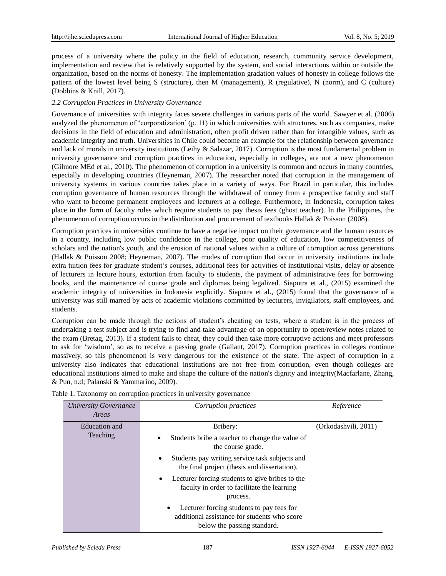process of a university where the policy in the field of education, research, community service development, implementation and review that is relatively supported by the system, and social interactions within or outside the organization, based on the norms of honesty. The implementation gradation values of honesty in college follows the pattern of the lowest level being S (structure), then M (management), R (regulative), N (norm), and C (culture) (Dobbins & Knill, 2017).

# *2.2 Corruption Practices in University Governance*

Governance of universities with integrity faces severe challenges in various parts of the world. Sawyer et al. (2006) analyzed the phenomenon of 'corporatization' (p. 11) in which universities with structures, such as companies, make decisions in the field of education and administration, often profit driven rather than for intangible values, such as academic integrity and truth. Universities in Chile could become an example for the relationship between governance and lack of morals in university institutions (Leihy & Salazar, 2017). Corruption is the most fundamental problem in university governance and corruption practices in education, especially in colleges, are not a new phenomenon (Gilmore MEd et al., 2010). The phenomenon of corruption in a university is common and occurs in many countries, especially in developing countries (Heyneman, 2007). The researcher noted that corruption in the management of university systems in various countries takes place in a variety of ways. For Brazil in particular, this includes corruption governance of human resources through the withdrawal of money from a prospective faculty and staff who want to become permanent employees and lecturers at a college. Furthermore, in Indonesia, corruption takes place in the form of faculty roles which require students to pay thesis fees (ghost teacher). In the Philippines, the phenomenon of corruption occurs in the distribution and procurement of textbooks Hallak & Poisson (2008).

Corruption practices in universities continue to have a negative impact on their governance and the human resources in a country, including low public confidence in the college, poor quality of education, low competitiveness of scholars and the nation's youth, and the erosion of national values within a culture of corruption across generations (Hallak & Poisson 2008; Heyneman, 2007). The modes of corruption that occur in university institutions include extra tuition fees for graduate student's courses, additional fees for activities of institutional visits, delay or absence of lecturers in lecture hours, extortion from faculty to students, the payment of administrative fees for borrowing books, and the maintenance of course grade and diplomas being legalized. Siaputra et al., (2015) examined the academic integrity of universities in Indonesia explicitly. Siaputra et al., (2015) found that the governance of a university was still marred by acts of academic violations committed by lecturers, invigilators, staff employees, and students.

Corruption can be made through the actions of student's cheating on tests, where a student is in the process of undertaking a test subject and is trying to find and take advantage of an opportunity to open/review notes related to the exam (Bretag, 2013). If a student fails to cheat, they could then take more corruptive actions and meet professors to ask for 'wisdom', so as to receive a passing grade (Gallant, 2017). Corruption practices in colleges continue massively, so this phenomenon is very dangerous for the existence of the state. The aspect of corruption in a university also indicates that educational institutions are not free from corruption, even though colleges are educational institutions aimed to make and shape the culture of the nation's dignity and integrity(Macfarlane, Zhang, & Pun, n.d; Palanski & Yammarino, 2009).

| University Governance<br>Areas | Corruption practices                                                                                                     | Reference            |
|--------------------------------|--------------------------------------------------------------------------------------------------------------------------|----------------------|
| Education and<br>Teaching      | Bribery:<br>Students bribe a teacher to change the value of<br>the course grade.                                         | (Orkodashvili, 2011) |
|                                | Students pay writing service task subjects and<br>$\bullet$<br>the final project (thesis and dissertation).              |                      |
|                                | Lecturer forcing students to give bribes to the<br>٠<br>faculty in order to facilitate the learning<br>process.          |                      |
|                                | Lecturer forcing students to pay fees for<br>additional assistance for students who score<br>below the passing standard. |                      |

Table 1. Taxonomy on corruption practices in university governance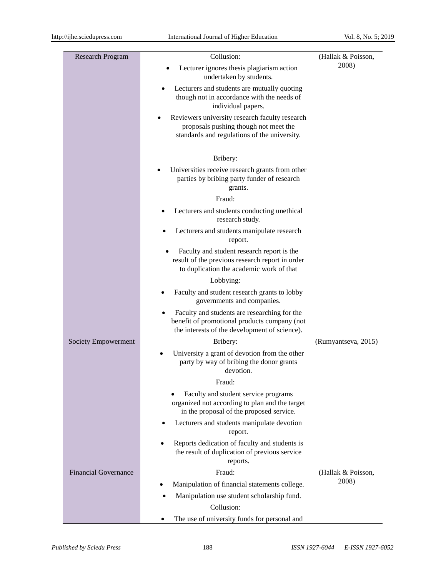| <b>Research Program</b>     | Collusion:                                                                                                                                    | (Hallak & Poisson,  |
|-----------------------------|-----------------------------------------------------------------------------------------------------------------------------------------------|---------------------|
|                             | Lecturer ignores thesis plagiarism action<br>undertaken by students.                                                                          | 2008)               |
|                             | Lecturers and students are mutually quoting<br>though not in accordance with the needs of<br>individual papers.                               |                     |
|                             | Reviewers university research faculty research<br>proposals pushing though not meet the<br>standards and regulations of the university.       |                     |
|                             | Bribery:                                                                                                                                      |                     |
|                             | Universities receive research grants from other<br>parties by bribing party funder of research<br>grants.                                     |                     |
|                             | Fraud:                                                                                                                                        |                     |
|                             | Lecturers and students conducting unethical<br>research study.                                                                                |                     |
|                             | Lecturers and students manipulate research<br>report.                                                                                         |                     |
|                             | Faculty and student research report is the<br>result of the previous research report in order<br>to duplication the academic work of that     |                     |
|                             | Lobbying:                                                                                                                                     |                     |
|                             | Faculty and student research grants to lobby<br>governments and companies.                                                                    |                     |
|                             | Faculty and students are researching for the<br>benefit of promotional products company (not<br>the interests of the development of science). |                     |
| Society Empowerment         | Bribery:                                                                                                                                      | (Rumyantseva, 2015) |
|                             | University a grant of devotion from the other<br>party by way of bribing the donor grants<br>devotion.                                        |                     |
|                             | Fraud:                                                                                                                                        |                     |
|                             | Faculty and student service programs<br>organized not according to plan and the target<br>in the proposal of the proposed service.            |                     |
|                             | Lecturers and students manipulate devotion<br>report.                                                                                         |                     |
|                             | Reports dedication of faculty and students is<br>the result of duplication of previous service<br>reports.                                    |                     |
| <b>Financial Governance</b> | Fraud:                                                                                                                                        | (Hallak & Poisson,  |
|                             | Manipulation of financial statements college.                                                                                                 | 2008)               |
|                             | Manipulation use student scholarship fund.                                                                                                    |                     |
|                             | Collusion:                                                                                                                                    |                     |
|                             | The use of university funds for personal and                                                                                                  |                     |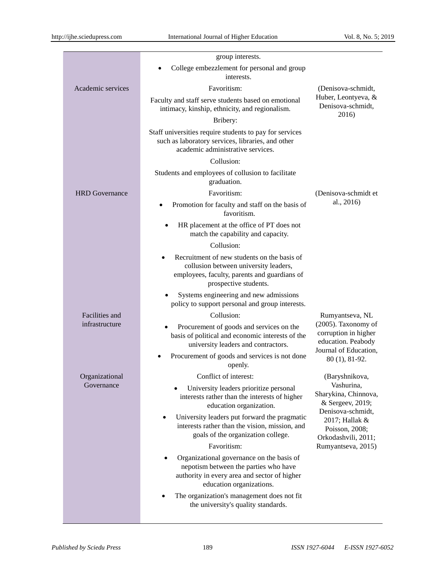|                       | group interests.                                                                                                                                               |                                                                                                                 |  |
|-----------------------|----------------------------------------------------------------------------------------------------------------------------------------------------------------|-----------------------------------------------------------------------------------------------------------------|--|
|                       | College embezzlement for personal and group<br>interests.                                                                                                      |                                                                                                                 |  |
| Academic services     | Favoritism:                                                                                                                                                    | (Denisova-schmidt,                                                                                              |  |
|                       | Faculty and staff serve students based on emotional<br>intimacy, kinship, ethnicity, and regionalism.                                                          | Huber, Leontyeva, &<br>Denisova-schmidt,                                                                        |  |
|                       | Bribery:                                                                                                                                                       | 2016)                                                                                                           |  |
|                       | Staff universities require students to pay for services<br>such as laboratory services, libraries, and other<br>academic administrative services.              |                                                                                                                 |  |
|                       | Collusion:                                                                                                                                                     |                                                                                                                 |  |
|                       | Students and employees of collusion to facilitate<br>graduation.                                                                                               |                                                                                                                 |  |
| <b>HRD</b> Governance | Favoritism:                                                                                                                                                    | (Denisova-schmidt et                                                                                            |  |
|                       | Promotion for faculty and staff on the basis of<br>favoritism.                                                                                                 | al., 2016)                                                                                                      |  |
|                       | HR placement at the office of PT does not<br>match the capability and capacity.                                                                                |                                                                                                                 |  |
|                       | Collusion:                                                                                                                                                     |                                                                                                                 |  |
|                       | Recruitment of new students on the basis of<br>collusion between university leaders,<br>employees, faculty, parents and guardians of<br>prospective students.  |                                                                                                                 |  |
|                       | Systems engineering and new admissions<br>policy to support personal and group interests.                                                                      |                                                                                                                 |  |
| Facilities and        | Collusion:                                                                                                                                                     | Rumyantseva, NL                                                                                                 |  |
| infrastructure        | Procurement of goods and services on the<br>basis of political and economic interests of the<br>university leaders and contractors.                            | $(2005)$ . Taxonomy of<br>corruption in higher<br>education. Peabody<br>Journal of Education,<br>80 (1), 81-92. |  |
|                       | Procurement of goods and services is not done<br>openly.                                                                                                       |                                                                                                                 |  |
| Organizational        | Conflict of interest:                                                                                                                                          | (Baryshnikova,                                                                                                  |  |
| Governance            | University leaders prioritize personal<br>interests rather than the interests of higher<br>education organization.                                             | Vashurina,<br>Sharykina, Chinnova,<br>& Sergeev, 2019;                                                          |  |
|                       | University leaders put forward the pragmatic<br>interests rather than the vision, mission, and<br>goals of the organization college.                           | Denisova-schmidt,<br>2017; Hallak &<br>Poisson, 2008;<br>Orkodashvili, 2011;                                    |  |
|                       | Favoritism:                                                                                                                                                    | Rumyantseva, 2015)                                                                                              |  |
|                       | Organizational governance on the basis of<br>nepotism between the parties who have<br>authority in every area and sector of higher<br>education organizations. |                                                                                                                 |  |
|                       | The organization's management does not fit<br>the university's quality standards.                                                                              |                                                                                                                 |  |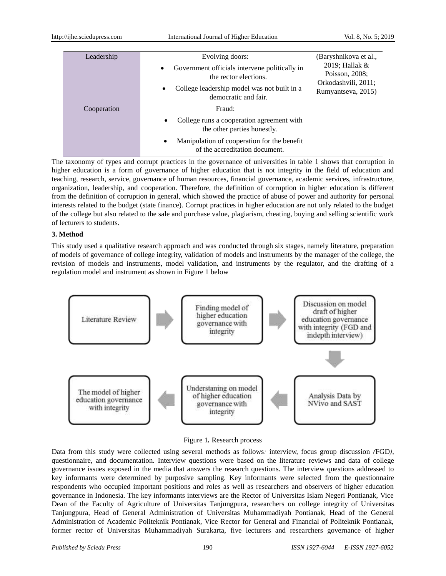| Leadership  | Evolving doors:                                                                            | (Baryshnikova et al., |
|-------------|--------------------------------------------------------------------------------------------|-----------------------|
|             | Government officials intervene politically in<br>$\bullet$                                 | 2019; Hallak $\&$     |
|             | the rector elections.                                                                      | Poisson, 2008;        |
|             |                                                                                            | Orkodashvili, 2011;   |
|             | College leadership model was not built in a<br>$\bullet$<br>democratic and fair.           | Rumyantseva, 2015)    |
| Cooperation | Fraud:                                                                                     |                       |
|             | College runs a cooperation agreement with<br>$\bullet$<br>the other parties honestly.      |                       |
|             | Manipulation of cooperation for the benefit<br>$\bullet$<br>of the accreditation document. |                       |

The taxonomy of types and corrupt practices in the governance of universities in table 1 shows that corruption in higher education is a form of governance of higher education that is not integrity in the field of education and teaching, research, service, governance of human resources, financial governance, academic services, infrastructure, organization, leadership, and cooperation. Therefore, the definition of corruption in higher education is different from the definition of corruption in general, which showed the practice of abuse of power and authority for personal interests related to the budget (state finance). Corrupt practices in higher education are not only related to the budget of the college but also related to the sale and purchase value, plagiarism, cheating, buying and selling scientific work of lecturers to students.

#### **3. Method**

This study used a qualitative research approach and was conducted through six stages, namely literature, preparation of models of governance of college integrity, validation of models and instruments by the manager of the college, the revision of models and instruments, model validation, and instruments by the regulator, and the drafting of a regulation model and instrument as shown in Figure 1 below



Figure 1*.* Research process

Data from this study were collected using several methods as follows*:* interview, focus group discussion *(*FGD*)*, questionnaire, and documentation*.* Interview questions were based on the literature reviews and data of college governance issues exposed in the media that answers the research questions. The interview questions addressed to key informants were determined by purposive sampling. Key informants were selected from the questionnaire respondents who occupied important positions and roles as well as researchers and observers of higher education governance in Indonesia. The key informants interviews are the Rector of Universitas Islam Negeri Pontianak, Vice Dean of the Faculty of Agriculture of Universitas Tanjungpura, researchers on college integrity of Universitas Tanjungpura, Head of General Administration of Universitas Muhammadiyah Pontianak, Head of the General Administration of Academic Politeknik Pontianak, Vice Rector for General and Financial of Politeknik Pontianak, former rector of Universitas Muhammadiyah Surakarta, five lecturers and researchers governance of higher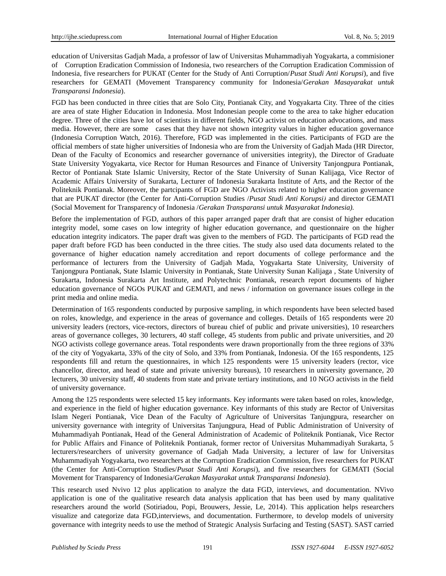education of Universitas Gadjah Mada, a professor of law of Universitas Muhammadiyah Yogyakarta, a commisioner of Corruption Eradication Commission of Indonesia, two researchers of the Corruption Eradication Commission of Indonesia, five researchers for PUKAT (Center for the Study of Anti Corruption/*Pusat Studi Anti Korupsi*), and five researchers for GEMATI (Movement Transparency community for Indonesia/*Gerakan Masayarakat untuk Transparansi Indonesia*).

FGD has been conducted in three cities that are Solo City, Pontianak City, and Yogyakarta City. Three of the cities are area of state Higher Education in Indonesia. Most Indonesian people come to the area to take higher education degree. Three of the cities have lot of scientists in different fields, NGO activist on education advocations, and mass media. However, there are some cases that they have not shown integrity values in higher education governance (Indonesia Corruption Watch, 2016). Therefore, FGD was implemented in the cities. Participants of FGD are the official members of state higher universities of Indonesia who are from the University of Gadjah Mada (HR Director, Dean of the Faculty of Economics and researcher governance of universities integrity), the Director of Graduate State University Yogyakarta, vice Rector for Human Resources and Finance of University Tanjongpura Pontianak, Rector of Pontianak State Islamic University, Rector of the State University of Sunan Kalijaga, Vice Rector of Academic Affairs University of Surakarta, Lecturer of Indonesia Surakarta Institute of Arts, and the Rector of the Politeknik Pontianak. Moreover, the partcipants of FGD are NGO Activists related to higher education governance that are PUKAT director (the Center for Anti-Corruption Studies /*Pusat Studi Anti Korupsi)* and director GEMATI (Social Movement for Transparency of Indonesia /*Gerakan Transparansi untuk Masyarakat Indonesia).*

Before the implementation of FGD, authors of this paper arranged paper draft that are consist of higher education integrity model, some cases on low integrity of higher education governance, and questionnaire on the higher education integrity indicators. The paper draft was given to the members of FGD. The participants of FGD read the paper draft before FGD has been conducted in the three cities. The study also used data documents related to the governance of higher education namely accreditation and report documents of college performance and the performance of lecturers from the University of Gadjah Mada, Yogyakarta State University, University of Tanjongpura Pontianak, State Islamic University in Pontianak, State University Sunan Kalijaga , State University of Surakarta, Indonesia Surakarta Art Institute, and Polytechnic Pontianak, research report documents of higher education governance of NGOs PUKAT and GEMATI, and news / information on governance issues college in the print media and online media.

Determination of 165 respondents conducted by purposive sampling, in which respondents have been selected based on roles, knowledge, and experience in the areas of governance and colleges. Details of 165 respondents were 20 university leaders (rectors, vice-rectors, directors of bureau chief of public and private universities), 10 researchers areas of governance colleges, 30 lecturers, 40 staff college, 45 students from public and private universities, and 20 NGO activists college governance areas. Total respondents were drawn proportionally from the three regions of 33% of the city of Yogyakarta, 33% of the city of Solo, and 33% from Pontianak, Indonesia. Of the 165 respondents, 125 respondents fill and return the questionnaires, in which 125 respondents were 15 university leaders (rector, vice chancellor, director, and head of state and private university bureaus), 10 researchers in university governance, 20 lecturers, 30 university staff, 40 students from state and private tertiary institutions, and 10 NGO activists in the field of university governance.

Among the 125 respondents were selected 15 key informants. Key informants were taken based on roles, knowledge, and experience in the field of higher education governance. Key informants of this study are Rector of Universitas Islam Negeri Pontianak, Vice Dean of the Faculty of Agriculture of Universitas Tanjungpura, researcher on university governance with integrity of Universitas Tanjungpura, Head of Public Administration of University of Muhammadiyah Pontianak, Head of the General Administration of Academic of Politeknik Pontianak, Vice Rector for Public Affairs and Finance of Politeknik Pontianak, former rector of Universitas Muhammadiyah Surakarta, 5 lecturers/researchers of university governance of Gadjah Mada University, a lecturer of law for Universitas Muhammadiyah Yogyakarta, two researchers at the Corruption Eradication Commission, five researchers for PUKAT (the Center for Anti-Corruption Studies/*Pusat Studi Anti Korupsi*), and five researchers for GEMATI (Social Movement for Transparency of Indonesia/*Gerakan Masyarakat untuk Transparansi Indonesia*).

This research used Nvivo 12 plus application to analyze the data FGD, interviews, and documentation. NVivo application is one of the qualitative research data analysis application that has been used by many qualitative researchers around the world (Sotiriadou, Popi, Brouwers, Jessie, Le, 2014). This application helps researchers visualize and categorize data FGD,interviews, and documentation. Furthermore, to develop models of university governance with integrity needs to use the method of Strategic Analysis Surfacing and Testing (SAST). SAST carried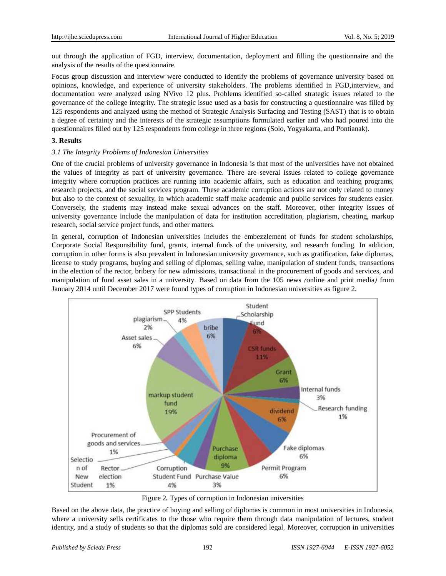out through the application of FGD, interview, documentation, deployment and filling the questionnaire and the analysis of the results of the questionnaire.

Focus group discussion and interview were conducted to identify the problems of governance university based on opinions, knowledge, and experience of university stakeholders. The problems identified in FGD,interview, and documentation were analyzed using NVivo 12 plus. Problems identified so-called strategic issues related to the governance of the college integrity. The strategic issue used as a basis for constructing a questionnaire was filled by 125 respondents and analyzed using the method of Strategic Analysis Surfacing and Testing (SAST) that is to obtain a degree of certainty and the interests of the strategic assumptions formulated earlier and who had poured into the questionnaires filled out by 125 respondents from college in three regions (Solo, Yogyakarta, and Pontianak).

#### **3. Results**

#### *3.1 The Integrity Problems of Indonesian Universities*

One of the crucial problems of university governance in Indonesia is that most of the universities have not obtained the values of integrity as part of university governance*.* There are several issues related to college governance integrity where corruption practices are running into academic affairs, such as education and teaching programs, research projects, and the social services program*.* These academic corruption actions are not only related to money but also to the context of sexuality, in which academic staff make academic and public services for students easier*.*  Conversely, the students may instead make sexual advances on the staff*.* Moreover, other integrity issues of university governance include the manipulation of data for institution accreditation, plagiarism, cheating, markup research, social service project funds, and other matters*.*

In general, corruption of Indonesian universities includes the embezzlement of funds for student scholarships, Corporate Social Responsibility fund, grants, internal funds of the university, and research funding*.* In addition, corruption in other forms is also prevalent in Indonesian university governance, such as gratification, fake diplomas, license to study programs, buying and selling of diplomas, selling value, manipulation of student funds, transactions in the election of the rector, bribery for new admissions, transactional in the procurement of goods and services, and manipulation of fund asset sales in a university*.* Based on data from the 105 news *(*online and print media*)* from January 2014 until December 2017 were found types of corruption in Indonesian universities as figure 2.



Figure 2*.* Types of corruption in Indonesian universities

Based on the above data, the practice of buying and selling of diplomas is common in most universities in Indonesia, where a university sells certificates to the those who require them through data manipulation of lectures, student identity, and a study of students so that the diplomas sold are considered legal*.* Moreover, corruption in universities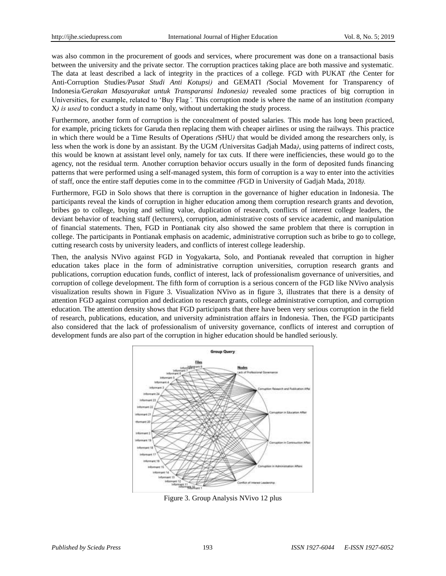was also common in the procurement of goods and services, where procurement was done on a transactional basis between the university and the private sector*.* The corruption practices taking place are both massive and systematic*.*  The data at least described a lack of integrity in the practices of a college*.* FGD with PUKAT *(*the Center for Anti-Corruption Studies*/Pusat Studi Anti Kotupsi)* and GEMATI *(*Social Movement for Transparency of Indonesia*/Gerakan Masayarakat untuk Transparansi Indonesia)* revealed some practices of big corruption in Universities, for example, related to 'Buy Flag*'.* This corruption mode is where the name of an institution *(*company X*) is used* to conduct a study in name only, without undertaking the study process*.*

Furthermore, another form of corruption is the concealment of posted salaries*.* This mode has long been practiced, for example, pricing tickets for Garuda then replacing them with cheaper airlines or using the railways*.* This practice in which there would be a Time Results of Operations *(*SHU*)* that would be divided among the researchers only, is less when the work is done by an assistant*.* By the UGM *(*Universitas Gadjah Mada*)*, using patterns of indirect costs, this would be known at assistant level only, namely for tax cuts*.* If there were inefficiencies, these would go to the agency, not the residual term*.* Another corruption behavior occurs usually in the form of deposited funds financing patterns that were performed using a self*-*managed system, this form of corruption is a way to enter into the activities of staff, once the entire staff deputies come in to the committee *(*FGD in University of Gadjah Mada, 2018*).* 

Furthermore, FGD in Solo shows that there is corruption in the governance of higher education in Indonesia. The participants reveal the kinds of corruption in higher education among them corruption research grants and devotion, bribes go to college, buying and selling value, duplication of research, conflicts of interest college leaders, the deviant behavior of teaching staff (lecturers), corruption, administrative costs of service academic, and manipulation of financial statements. Then, FGD in Pontianak city also showed the same problem that there is corruption in college. The participants in Pontianak emphasis on academic, administrative corruption such as bribe to go to college, cutting research costs by university leaders, and conflicts of interest college leadership.

Then, the analysis NVivo against FGD in Yogyakarta, Solo, and Pontianak revealed that corruption in higher education takes place in the form of administrative corruption universities, corruption research grants and publications, corruption education funds, conflict of interest, lack of professionalism governance of universities, and corruption of college development. The fifth form of corruption is a serious concern of the FGD like NVivo analysis visualization results shown in Figure 3. Visualization NVivo as in figure 3, illustrates that there is a density of attention FGD against corruption and dedication to research grants, college administrative corruption, and corruption education. The attention density shows that FGD participants that there have been very serious corruption in the field of research, publications, education, and university administration affairs in Indonesia. Then, the FGD participants also considered that the lack of professionalism of university governance, conflicts of interest and corruption of development funds are also part of the corruption in higher education should be handled seriously.



Figure 3. Group Analysis NVivo 12 plus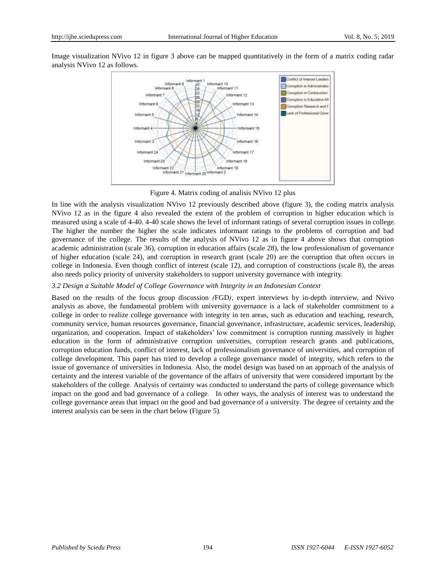Image visualization NVivo 12 in figure 3 above can be mapped quantitatively in the form of a matrix coding radar analysis NVivo 12 as follows.



Figure 4. Matrix coding of analisis NVivo 12 plus

In line with the analysis visualization NVivo 12 previously described above (figure 3), the coding matrix analysis NVivo 12 as in the figure 4 also revealed the extent of the problem of corruption in higher education which is measured using a scale of 4-40. 4-40 scale shows the level of informant ratings of several corruption issues in college. The higher the number the higher the scale indicates informant ratings to the problems of corruption and bad governance of the college. The results of the analysis of NVivo 12 as in figure 4 above shows that corruption academic administration (scale 36), corruption in education affairs (scale 28), the low professionalism of governance of higher education (scale 24), and corruption in research grant (scale 20) are the corruption that often occurs in college in Indonesia. Even though conflict of interest (scale 12), and corruption of constructions (scale 8), the areas also needs policy priority of university stakeholders to support university governance with integrity.

# *3.2 Design a Suitable Model of College Governance with Integrity in an Indonesian Context*

Based on the results of the focus group discussion *(*FGD*)*, expert interviews by in*-*depth interview, and Nvivo analysis as above, the fundamental problem with university governance is a lack of stakeholder commitment to a college in order to realize college governance with integrity in ten areas, such as education and teaching, research, community service, human resources governance, financial governance, infrastructure, academic services, leadership, organization, and cooperation. Impact of stakeholders' low commitment is corruption running massively in higher education in the form of administrative corruption universities, corruption research grants and publications, corruption education funds, conflict of interest, lack of professionalism governance of universities, and corruption of college development. This paper has tried to develop a college governance model of integrity, which refers to the issue of governance of universities in Indonesia*.* Also, the model design was based on an approach of the analysis of certainty and the interest variable of the governance of the affairs of university that were considered important by the stakeholders of the college*.* Analysis of certainty was conducted to understand the parts of college governance which impact on the good and bad governance of a college*.* In other ways, the analysis of interest was to understand the college governance areas that impact on the good and bad governance of a university*.* The degree of certainty and the interest analysis can be seen in the chart below (Figure 5)*.*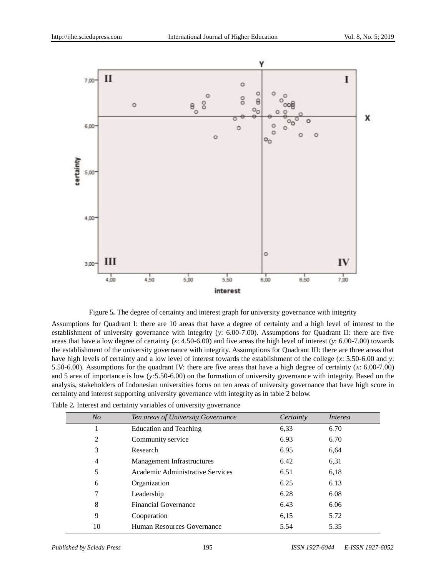

Figure 5*.* The degree of certainty and interest graph for university governance with integrity

Assumptions for Quadrant I: there are 10 areas that have a degree of certainty and a high level of interest to the establishment of university governance with integrity (*y*: 6.00-7.00). Assumptions for Quadrant II: there are five areas that have a low degree of certainty (*x*: 4.50-6.00) and five areas the high level of interest (*y*: 6.00-7.00) towards the establishment of the university governance with integrity. Assumptions for Quadrant III: there are three areas that have high levels of certainty and a low level of interest towards the establishment of the college (*x*: 5.50-6.00 and *y*: 5.50-6.00). Assumptions for the quadrant IV: there are five areas that have a high degree of certainty (*x*: 6.00-7.00) and 5 area of importance is low (*y:*5.50-6.00) on the formation of university governance with integrity. Based on the analysis, stakeholders of Indonesian universities focus on ten areas of university governance that have high score in certainty and interest supporting university governance with integrity as in table 2 below.

| N <sub>O</sub> | Ten areas of University Governance | Certainty | Interest |  |
|----------------|------------------------------------|-----------|----------|--|
|                | Education and Teaching             | 6.33      | 6.70     |  |
| 2              | Community service                  | 6.93      | 6.70     |  |
| 3              | Research                           | 6.95      | 6,64     |  |
| 4              | Management Infrastructures         | 6.42      | 6,31     |  |
| 5              | Academic Administrative Services   | 6.51      | 6,18     |  |
| 6              | Organization                       | 6.25      | 6.13     |  |
| 7              | Leadership                         | 6.28      | 6.08     |  |
| 8              | Financial Governance               | 6.43      | 6.06     |  |
| 9              | Cooperation                        | 6,15      | 5.72     |  |
| 10             | Human Resources Governance         | 5.54      | 5.35     |  |

Table 2*.* Interest and certainty variables of university governance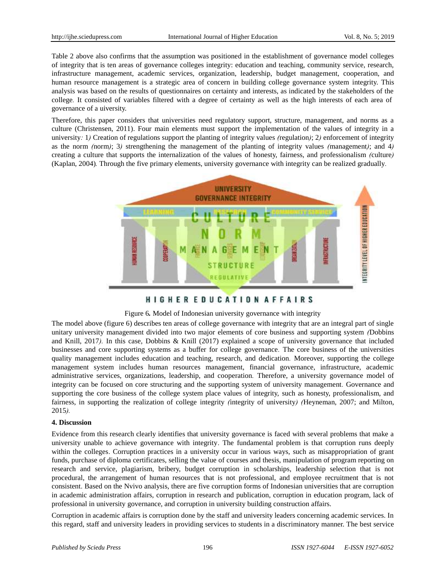Table 2 above also confirms that the assumption was positioned in the establishment of governance model colleges of integrity that is ten areas of governance colleges integrity: education and teaching, community service, research, infrastructure management, academic services, organization, leadership, budget management, cooperation, and human resource management is a strategic area of concern in building college governance system integrity. This analysis was based on the results of questionnaires on certainty and interests, as indicated by the stakeholders of the college*.* It consisted of variables filtered with a degree of certainty as well as the high interests of each area of governance of a uiversity.

Therefore, this paper considers that universities need regulatory support, structure, management, and norms as a culture (Christensen, 2011). Four main elements must support the implementation of the values of integrity in a university*:* 1*)* Creation of regulations support the planting of integrity values *(*regulation*)*; 2*)* enforcement of integrity as the norm *(*norm*)*; 3*)* strengthening the management of the planting of integrity values *(*management*)*; and 4*)*  creating a culture that supports the internalization of the values of honesty, fairness, and professionalism *(*culture*)* (Kaplan, 2004)*.* Through the five primary elements, university governance with integrity can be realized gradually*.* 





#### Figure 6*.* Model of Indonesian university governance with integrity

The model above (figure 6) describes ten areas of college governance with integrity that are an integral part of single unitary university management divided into two major elements of core business and supporting system *(*Dobbins and Knill, 2017*).* In this case, Dobbins & Knill (2017) explained a scope of university governance that included businesses and core supporting systems as a buffer for college governance*.* The core business of the universities quality management includes education and teaching, research, and dedication*.* Moreover, supporting the college management system includes human resources management, financial governance, infrastructure, academic administrative services, organizations, leadership, and cooperation*.* Therefore, a university governance model of integrity can be focused on core structuring and the supporting system of university management*.* Governance and supporting the core business of the college system place values of integrity, such as honesty, professionalism, and fairness, in supporting the realization of college integrity *(*integrity of university*) (*Heyneman, 2007; and Milton, 2015*).*

# **4. Discussion**

Evidence from this research clearly identifies that university governance is faced with several problems that make a university unable to achieve governance with integrity. The fundamental problem is that corruption runs deeply within the colleges. Corruption practices in a university occur in various ways, such as misappropriation of grant funds, purchase of diploma certificates, selling the value of courses and thesis, manipulation of program reporting on research and service, plagiarism, bribery, budget corruption in scholarships, leadership selection that is not procedural, the arrangement of human resources that is not professional, and employee recruitment that is not consistent. Based on the Nvivo analysis, there are five corruption forms of Indonesian universities that are corruption in academic administration affairs, corruption in research and publication, corruption in education program, lack of professional in university governance, and corruption in university building construction affairs.

Corruption in academic affairs is corruption done by the staff and university leaders concerning academic services. In this regard, staff and university leaders in providing services to students in a discriminatory manner. The best service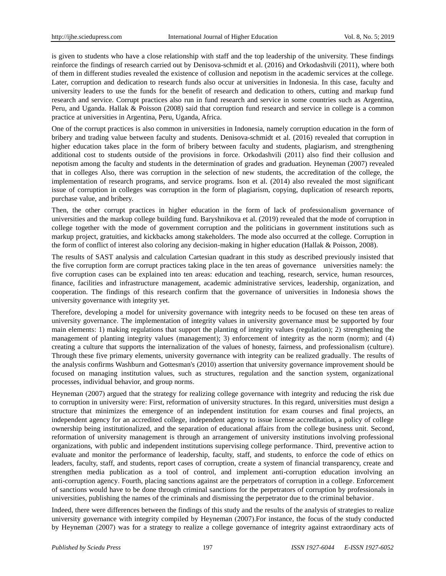is given to students who have a close relationship with staff and the top leadership of the university. These findings reinforce the findings of research carried out by Denisova-schmidt et al. (2016) and Orkodashvili (2011), where both of them in different studies revealed the existence of collusion and nepotism in the academic services at the college. Later, corruption and dedication to research funds also occur at universities in Indonesia. In this case, faculty and university leaders to use the funds for the benefit of research and dedication to others, cutting and markup fund research and service. Corrupt practices also run in fund research and service in some countries such as Argentina, Peru, and Uganda. Hallak & Poisson (2008) said that corruption fund research and service in college is a common practice at universities in Argentina, Peru, Uganda, Africa.

One of the corrupt practices is also common in universities in Indonesia, namely corruption education in the form of bribery and trading value between faculty and students. Denisova-schmidt et al. (2016) revealed that corruption in higher education takes place in the form of bribery between faculty and students, plagiarism, and strengthening additional cost to students outside of the provisions in force. Orkodashvili (2011) also find their collusion and nepotism among the faculty and students in the determination of grades and graduation. Heyneman (2007) revealed that in colleges Also, there was corruption in the selection of new students, the accreditation of the college, the implementation of research programs, and service programs. Ison et al. (2014) also revealed the most significant issue of corruption in colleges was corruption in the form of plagiarism, copying, duplication of research reports, purchase value, and bribery.

Then, the other corrupt practices in higher education in the form of lack of professionalism governance of universities and the markup college building fund. Baryshnikova et al. (2019) revealed that the mode of corruption in college together with the mode of government corruption and the politicians in government institutions such as markup project, gratuities, and kickbacks among stakeholders. The mode also occurred at the college. Corruption in the form of conflict of interest also coloring any decision-making in higher education (Hallak & Poisson, 2008).

The results of SAST analysis and calculation Cartesian quadrant in this study as described previously insisted that the five corruption form are corrupt practices taking place in the ten areas of governance universities namely: the five corruption cases can be explained into ten areas: education and teaching, research, service, human resources, finance, facilities and infrastructure management, academic administrative services, leadership, organization, and cooperation. The findings of this research confirm that the governance of universities in Indonesia shows the university governance with integrity yet.

Therefore, developing a model for university governance with integrity needs to be focused on these ten areas of university governance. The implementation of integrity values in university governance must be supported by four main elements: 1) making regulations that support the planting of integrity values (regulation); 2) strengthening the management of planting integrity values (management); 3) enforcement of integrity as the norm (norm); and (4) creating a culture that supports the internalization of the values of honesty, fairness, and professionalism (culture). Through these five primary elements, university governance with integrity can be realized gradually. The results of the analysis confirms Washburn and Gottesman's (2010) assertion that university governance improvement should be focused on managing institution values, such as structures, regulation and the sanction system, organizational processes, individual behavior, and group norms.

Heyneman (2007) argued that the strategy for realizing college governance with integrity and reducing the risk due to corruption in university were: First, reformation of university structures. In this regard, universities must design a structure that minimizes the emergence of an independent institution for exam courses and final projects, an independent agency for an accredited college, independent agency to issue license accreditation, a policy of college ownership being institutionalized, and the separation of educational affairs from the college business unit. Second, reformation of university management is through an arrangement of university institutions involving professional organizations, with public and independent institutions supervising college performance. Third, preventive action to evaluate and monitor the performance of leadership, faculty, staff, and students, to enforce the code of ethics on leaders, faculty, staff, and students, report cases of corruption, create a system of financial transparency, create and strengthen media publication as a tool of control, and implement anti-corruption education involving an anti-corruption agency. Fourth, placing sanctions against are the perpetrators of corruption in a college. Enforcement of sanctions would have to be done through criminal sanctions for the perpetrators of corruption by professionals in universities, publishing the names of the criminals and dismissing the perpetrator due to the criminal behavior.

Indeed, there were differences between the findings of this study and the results of the analysis of strategies to realize university governance with integrity compiled by Heyneman (2007).For instance, the focus of the study conducted by Heyneman (2007) was for a strategy to realize a college governance of integrity against extraordinary acts of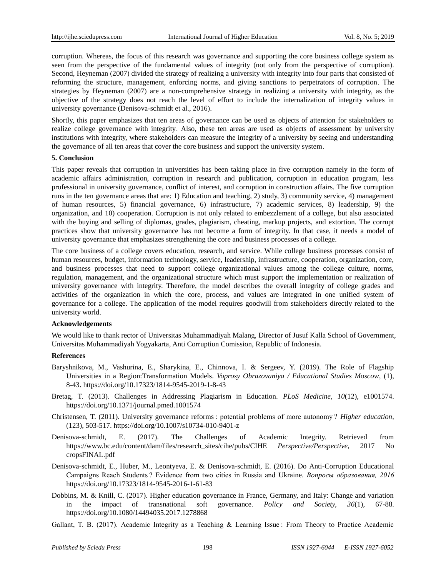corruption. Whereas, the focus of this research was governance and supporting the core business college system as seen from the perspective of the fundamental values of integrity (not only from the perspective of corruption). Second, Heyneman (2007) divided the strategy of realizing a university with integrity into four parts that consisted of reforming the structure, management, enforcing norms, and giving sanctions to perpetrators of corruption. The strategies by Heyneman (2007) are a non-comprehensive strategy in realizing a university with integrity, as the objective of the strategy does not reach the level of effort to include the internalization of integrity values in university governance (Denisova-schmidt et al., 2016).

Shortly, this paper emphasizes that ten areas of governance can be used as objects of attention for stakeholders to realize college governance with integrity. Also, these ten areas are used as objects of assessment by university institutions with integrity, where stakeholders can measure the integrity of a university by seeing and understanding the governance of all ten areas that cover the core business and support the university system.

# **5. Conclusion**

This paper reveals that corruption in universities has been taking place in five corruption namely in the form of academic affairs administration, corruption in research and publication, corruption in education program, less professional in university governance, conflict of interest, and corruption in construction affairs. The five corruption runs in the ten governance areas that are: 1) Education and teaching, 2) study, 3) community service, 4) management of human resources, 5) financial governance, 6) infrastructure, 7) academic services, 8) leadership, 9) the organization, and 10) cooperation. Corruption is not only related to embezzlement of a college, but also associated with the buying and selling of diplomas, grades, plagiarism, cheating, markup projects, and extortion. The corrupt practices show that university governance has not become a form of integrity. In that case, it needs a model of university governance that emphasizes strengthening the core and business processes of a college.

The core business of a college covers education, research, and service. While college business processes consist of human resources, budget, information technology, service, leadership, infrastructure, cooperation, organization, core, and business processes that need to support college organizational values among the college culture, norms, regulation, management, and the organizational structure which must support the implementation or realization of university governance with integrity. Therefore, the model describes the overall integrity of college grades and activities of the organization in which the core, process, and values are integrated in one unified system of governance for a college. The application of the model requires goodwill from stakeholders directly related to the university world.

#### **Acknowledgements**

We would like to thank rector of Universitas Muhammadiyah Malang, Director of Jusuf Kalla School of Government, Universitas Muhammadiyah Yogyakarta, Anti Corruption Comission, Republic of Indonesia.

#### **References**

- Baryshnikova, M., Vashurina, E., Sharykina, E., Chinnova, I. & Sergeev, Y. (2019). The Role of Flagship Universities in a Region:Transformation Models. *Voprosy Obrazovaniya / Educational Studies Moscow*, (1), 8-43. https://doi.org/10.17323/1814-9545-2019-1-8-43
- Bretag, T. (2013). Challenges in Addressing Plagiarism in Education. *PLoS Medicine, 10*(12), e1001574. https://doi.org/10.1371/journal.pmed.1001574
- Christensen, T. (2011). University governance reforms : potential problems of more autonomy ? *Higher education,* (123), 503-517. https://doi.org/10.1007/s10734-010-9401-z
- Denisova-schmidt, E. (2017). The Challenges of Academic Integrity. Retrieved from https://www.bc.edu/content/dam/files/research\_sites/cihe/pubs/CIHE *Perspective/Perspective,* 2017 No cropsFINAL.pdf
- Denisova-schmidt, E., Huber, M., Leontyeva, E. & Denisova-schmidt, E. (2016). Do Anti-Corruption Educational Campaigns Reach Students ? Evidence from two cities in Russia and Ukraine. *Вопросы образования, 2016* https://doi.org/10.17323/1814-9545-2016-1-61-83
- Dobbins, M. & Knill, C. (2017). Higher education governance in France, Germany, and Italy: Change and variation in the impact of transnational soft governance. *Policy and Society, 36*(1), 67-88. https://doi.org/10.1080/14494035.2017.1278868
- Gallant, T. B. (2017). Academic Integrity as a Teaching & Learning Issue : From Theory to Practice Academic